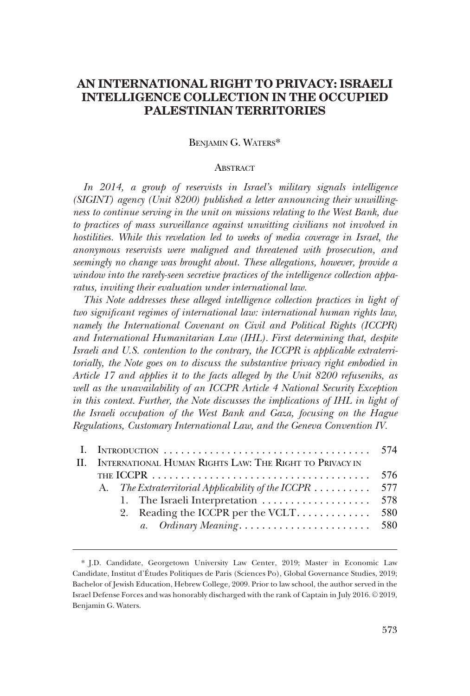# **AN INTERNATIONAL RIGHT TO PRIVACY: ISRAELI INTELLIGENCE COLLECTION IN THE OCCUPIED PALESTINIAN TERRITORIES**

### BENJAMIN G. WATERS\*

### **ABSTRACT**

*In 2014, a group of reservists in Israel's military signals intelligence (SIGINT) agency (Unit 8200) published a letter announcing their unwillingness to continue serving in the unit on missions relating to the West Bank, due* to practices of mass surveillance against unwitting civilians not involved in *hostilities. While this revelation led to weeks of media coverage in Israel, the anonymous reservists were maligned and threatened with prosecution, and seemingly no change was brought about. These allegations, however, provide a window into the rarely-seen secretive practices of the intelligence collection apparatus, inviting their evaluation under international law.* 

*This Note addresses these alleged intelligence collection practices in light of two significant regimes of international law: international human rights law, namely the International Covenant on Civil and Political Rights (ICCPR) and International Humanitarian Law (IHL). First determining that, despite Israeli and U.S. contention to the contrary, the ICCPR is applicable extraterritorially, the Note goes on to discuss the substantive privacy right embodied in Article 17 and applies it to the facts alleged by the Unit 8200 refuseniks, as well as the unavailability of an ICCPR Article 4 National Security Exception in this context. Further, the Note discusses the implications of IHL in light of the Israeli occupation of the West Bank and Gaza, focusing on the Hague Regulations, Customary International Law, and the Geneva Convention IV.* 

| II. INTERNATIONAL HUMAN RIGHTS LAW: THE RIGHT TO PRIVACY IN                                                   |  |                                                        |  |  |
|---------------------------------------------------------------------------------------------------------------|--|--------------------------------------------------------|--|--|
| 576<br>THE ICCPR $\ldots \ldots \ldots \ldots \ldots \ldots \ldots \ldots \ldots \ldots \ldots \ldots \ldots$ |  |                                                        |  |  |
|                                                                                                               |  | A. The Extraterritorial Applicability of the ICCPR 577 |  |  |
|                                                                                                               |  |                                                        |  |  |
|                                                                                                               |  |                                                        |  |  |
|                                                                                                               |  |                                                        |  |  |
|                                                                                                               |  |                                                        |  |  |

<sup>\*</sup> J.D. Candidate, Georgetown University Law Center, 2019; Master in Economic Law Candidate, Institut d'E´tudes Politiques de Paris (Sciences Po), Global Governance Studies, 2019; Bachelor of Jewish Education, Hebrew College, 2009. Prior to law school, the author served in the Israel Defense Forces and was honorably discharged with the rank of Captain in July 2016. © 2019, Benjamin G. Waters.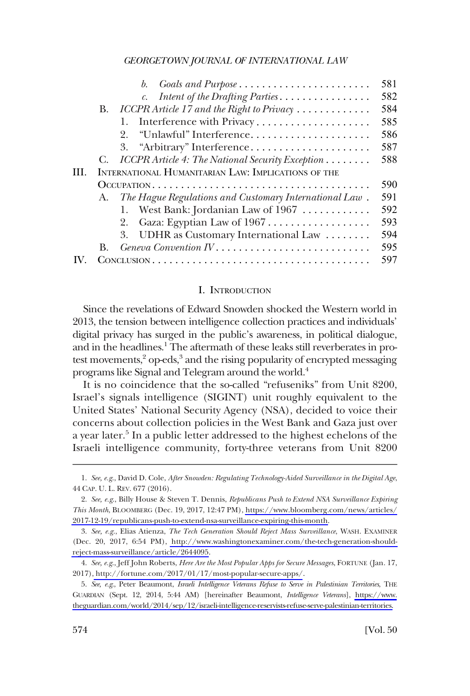<span id="page-1-0"></span>

|     |                                                     | Goals and Purpose<br>b.                                | 581 |  |  |
|-----|-----------------------------------------------------|--------------------------------------------------------|-----|--|--|
|     |                                                     | Intent of the Drafting Parties.<br>$\mathcal{C}$ .     | 582 |  |  |
|     | <b>B.</b>                                           | ICCPR Article 17 and the Right to Privacy              | 584 |  |  |
|     |                                                     | Interference with Privacy<br>1.                        | 585 |  |  |
|     |                                                     | "Unlawful" Interference<br>2.                          | 586 |  |  |
|     |                                                     | 3. "Arbitrary" Interference                            | 587 |  |  |
|     | С.                                                  | ICCPR Article 4: The National Security Exception       | 588 |  |  |
| HH. | INTERNATIONAL HUMANITARIAN LAW: IMPLICATIONS OF THE |                                                        |     |  |  |
|     |                                                     |                                                        |     |  |  |
|     | А.                                                  | The Hague Regulations and Customary International Law. | 591 |  |  |
|     |                                                     | West Bank: Jordanian Law of $1967$                     | 592 |  |  |
|     |                                                     | Gaza: Egyptian Law of 1967<br>2.                       | 593 |  |  |
|     |                                                     | 3. UDHR as Customary International Law                 | 594 |  |  |
|     | В.                                                  |                                                        | 595 |  |  |
|     |                                                     |                                                        |     |  |  |

### I. INTRODUCTION

Since the revelations of Edward Snowden shocked the Western world in 2013, the tension between intelligence collection practices and individuals' digital privacy has surged in the public's awareness, in political dialogue, and in the headlines.<sup>1</sup> The aftermath of these leaks still reverberates in protest movements, $3$  op-eds, $3$  and the rising popularity of encrypted messaging programs like Signal and Telegram around the world.4

It is no coincidence that the so-called "refuseniks" from Unit 8200, Israel's signals intelligence (SIGINT) unit roughly equivalent to the United States' National Security Agency (NSA), decided to voice their concerns about collection policies in the West Bank and Gaza just over a year later.<sup>5</sup> In a public letter addressed to the highest echelons of the Israeli intelligence community, forty-three veterans from Unit 8200

<sup>1.</sup> *See, e.g*., David D. Cole, *After Snowden: Regulating Technology-Aided Surveillance in the Digital Age*, 44 CAP. U. L. REV. 677 (2016).

*See, e.g*., Billy House & Steven T. Dennis, *Republicans Push to Extend NSA Surveillance Expiring*  2. *This Month*, BLOOMBERG (Dec. 19, 2017, 12:47 PM), [https://www.bloomberg.com/news/articles/](https://www.bloomberg.com/news/articles/2017-12-19/republicans-push-to-extend-nsa-surveillance-expiring-this-month)  [2017-12-19/republicans-push-to-extend-nsa-surveillance-expiring-this-month](https://www.bloomberg.com/news/articles/2017-12-19/republicans-push-to-extend-nsa-surveillance-expiring-this-month).

*See, e.g*., Elias Atienza, *The Tech Generation Should Reject Mass Surveillance*, WASH. EXAMINER 3. (Dec. 20, 2017, 6:54 PM), [http://www.washingtonexaminer.com/the-tech-generation-should](http://www.washingtonexaminer.com/the-tech-generation-should-reject-mass-surveillance/article/2644095)[reject-mass-surveillance/article/2644095.](http://www.washingtonexaminer.com/the-tech-generation-should-reject-mass-surveillance/article/2644095)

*See, e.g*., Jeff John Roberts, *Here Are the Most Popular Apps for Secure Messages*, FORTUNE (Jan. 17, 4. 2017)[, http://fortune.com/2017/01/17/most-popular-secure-apps/](http://fortune.com/2017/01/17/most-popular-secure-apps/).

*See, e.g*., Peter Beaumont, *Israeli Intelligence Veterans Refuse to Serve in Palestinian Territories*, THE 5. GUARDIAN (Sept. 12, 2014, 5:44 AM) [hereinafter Beaumont, *Intelligence Veterans*], [https://www.](https://www.theguardian.com/world/2014/sep/12/israeli-intelligence-reservists-refuse-serve-palestinian-territories)  [theguardian.com/world/2014/sep/12/israeli-intelligence-reservists-refuse-serve-palestinian-territories.](https://www.theguardian.com/world/2014/sep/12/israeli-intelligence-reservists-refuse-serve-palestinian-territories)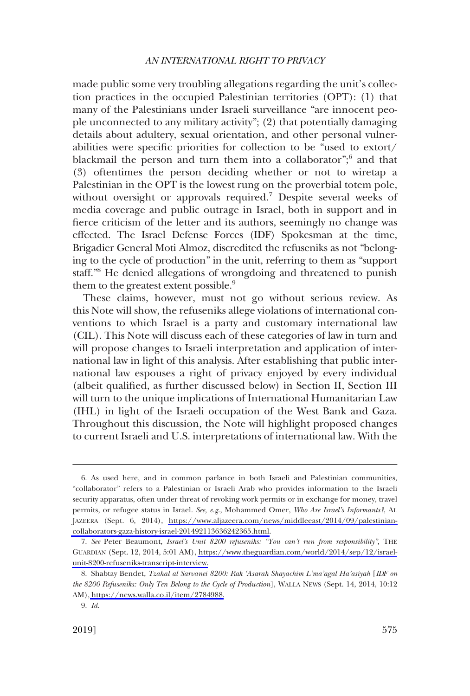made public some very troubling allegations regarding the unit's collection practices in the occupied Palestinian territories (OPT): (1) that many of the Palestinians under Israeli surveillance "are innocent people unconnected to any military activity"; (2) that potentially damaging details about adultery, sexual orientation, and other personal vulnerabilities were specific priorities for collection to be "used to extort/ blackmail the person and turn them into a collaborator";<sup>6</sup> and that (3) oftentimes the person deciding whether or not to wiretap a Palestinian in the OPT is the lowest rung on the proverbial totem pole, without oversight or approvals required.<sup>7</sup> Despite several weeks of media coverage and public outrage in Israel, both in support and in fierce criticism of the letter and its authors, seemingly no change was effected. The Israel Defense Forces (IDF) Spokesman at the time, Brigadier General Moti Almoz, discredited the refuseniks as not "belonging to the cycle of production" in the unit, referring to them as "support staff."<sup>8</sup> He denied allegations of wrongdoing and threatened to punish them to the greatest extent possible.<sup>9</sup>

These claims, however, must not go without serious review. As this Note will show, the refuseniks allege violations of international conventions to which Israel is a party and customary international law (CIL). This Note will discuss each of these categories of law in turn and will propose changes to Israeli interpretation and application of international law in light of this analysis. After establishing that public international law espouses a right of privacy enjoyed by every individual (albeit qualified, as further discussed below) in Section II, Section III will turn to the unique implications of International Humanitarian Law (IHL) in light of the Israeli occupation of the West Bank and Gaza. Throughout this discussion, the Note will highlight proposed changes to current Israeli and U.S. interpretations of international law. With the

As used here, and in common parlance in both Israeli and Palestinian communities, 6. "collaborator" refers to a Palestinian or Israeli Arab who provides information to the Israeli security apparatus, often under threat of revoking work permits or in exchange for money, travel permits, or refugee status in Israel. *See, e.g*., Mohammed Omer, *Who Are Israel's Informants?*, AL JAZEERA (Sept. 6, 2014), [https://www.aljazeera.com/news/middleeast/2014/09/palestinian](https://www.aljazeera.com/news/middleeast/2014/09/palestinian-collaborators-gaza-history-israel-201492113636242365.html)[collaborators-gaza-history-israel-201492113636242365.html.](https://www.aljazeera.com/news/middleeast/2014/09/palestinian-collaborators-gaza-history-israel-201492113636242365.html)

*See* Peter Beaumont, *Israel's Unit 8200 refuseniks: "You can't run from responsibility"*, THE 7. GUARDIAN (Sept. 12, 2014, 5:01 AM), [https://www.theguardian.com/world/2014/sep/12/israel](https://www.theguardian.com/world/2014/sep/12/israel-unit-8200-refuseniks-transcript-interview)[unit-8200-refuseniks-transcript-interview.](https://www.theguardian.com/world/2014/sep/12/israel-unit-8200-refuseniks-transcript-interview)

<sup>8.</sup> Shabtay Bendet, *Tzahal al Sarvanei 8200: Rak 'Asarah Shayachim L'ma'agal Ha'asiyah [IDF on the 8200 Refuseniks: Only Ten Belong to the Cycle of Production*], WALLA NEWS (Sept. 14, 2014, 10:12 AM), [https://news.walla.co.il/item/2784988.](https://news.walla.co.il/item/2784988)

<sup>9.</sup> *Id*.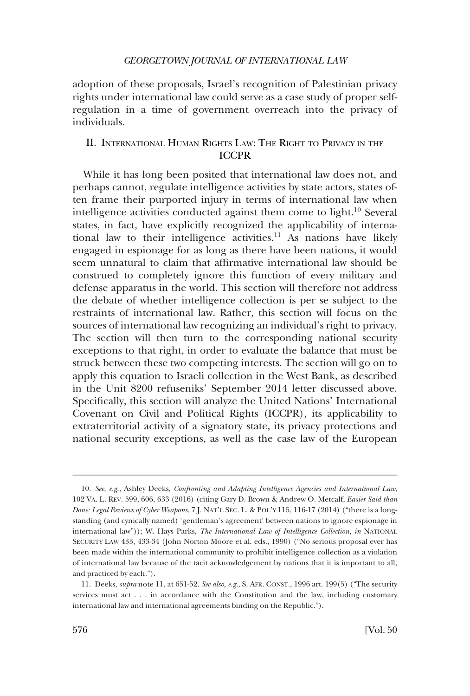<span id="page-3-0"></span>adoption of these proposals, Israel's recognition of Palestinian privacy rights under international law could serve as a case study of proper selfregulation in a time of government overreach into the privacy of individuals.

# II. INTERNATIONAL HUMAN RIGHTS LAW: THE RIGHT TO PRIVACY IN THE ICCPR

While it has long been posited that international law does not, and perhaps cannot, regulate intelligence activities by state actors, states often frame their purported injury in terms of international law when intelligence activities conducted against them come to light.10 Several states, in fact, have explicitly recognized the applicability of international law to their intelligence activities.<sup>11</sup> As nations have likely engaged in espionage for as long as there have been nations, it would seem unnatural to claim that affirmative international law should be construed to completely ignore this function of every military and defense apparatus in the world. This section will therefore not address the debate of whether intelligence collection is per se subject to the restraints of international law. Rather, this section will focus on the sources of international law recognizing an individual's right to privacy. The section will then turn to the corresponding national security exceptions to that right, in order to evaluate the balance that must be struck between these two competing interests. The section will go on to apply this equation to Israeli collection in the West Bank, as described in the Unit 8200 refuseniks' September 2014 letter discussed above. Specifically, this section will analyze the United Nations' International Covenant on Civil and Political Rights (ICCPR), its applicability to extraterritorial activity of a signatory state, its privacy protections and national security exceptions, as well as the case law of the European

<sup>10.</sup> *See, e.g*., Ashley Deeks, *Confronting and Adapting Intelligence Agencies and International Law*, 102 VA. L. REV. 599, 606, 633 (2016) (citing Gary D. Brown & Andrew O. Metcalf, *Easier Said than Done: Legal Reviews of Cyber Weapons*, 7 J. NAT'L SEC. L. & POL'Y 115, 116-17 (2014) ("there is a longstanding (and cynically named) 'gentleman's agreement' between nations to ignore espionage in international law")); W. Hays Parks, *The International Law of Intelligence Collection*, *in* NATIONAL SECURITY LAW 433, 433-34 (John Norton Moore et al. eds., 1990) ("No serious proposal ever has been made within the international community to prohibit intelligence collection as a violation of international law because of the tacit acknowledgement by nations that it is important to all, and practiced by each.").

<sup>11.</sup> Deeks, *supra* note 11, at 651-52. *See also, e.g*., S. AFR. CONST., 1996 art. 199(5) ("The security services must act . . . in accordance with the Constitution and the law, including customary international law and international agreements binding on the Republic.").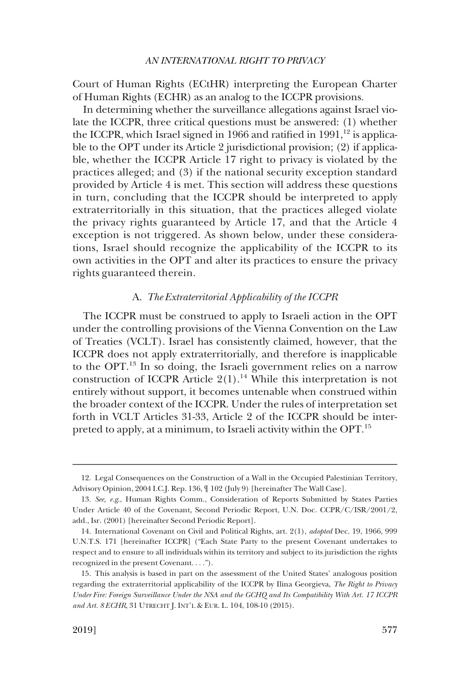<span id="page-4-0"></span>Court of Human Rights (ECtHR) interpreting the European Charter of Human Rights (ECHR) as an analog to the ICCPR provisions.

In determining whether the surveillance allegations against Israel violate the ICCPR, three critical questions must be answered: (1) whether the ICCPR, which Israel signed in 1966 and ratified in  $1991$ ,<sup>12</sup> is applicable to the OPT under its Article 2 jurisdictional provision; (2) if applicable, whether the ICCPR Article 17 right to privacy is violated by the practices alleged; and (3) if the national security exception standard provided by Article 4 is met. This section will address these questions in turn, concluding that the ICCPR should be interpreted to apply extraterritorially in this situation, that the practices alleged violate the privacy rights guaranteed by Article 17, and that the Article 4 exception is not triggered. As shown below, under these considerations, Israel should recognize the applicability of the ICCPR to its own activities in the OPT and alter its practices to ensure the privacy rights guaranteed therein.

### A. *The Extraterritorial Applicability of the ICCPR*

The ICCPR must be construed to apply to Israeli action in the OPT under the controlling provisions of the Vienna Convention on the Law of Treaties (VCLT). Israel has consistently claimed, however, that the ICCPR does not apply extraterritorially, and therefore is inapplicable to the OPT.13 In so doing, the Israeli government relies on a narrow construction of ICCPR Article  $2(1)$ .<sup>14</sup> While this interpretation is not entirely without support, it becomes untenable when construed within the broader context of the ICCPR. Under the rules of interpretation set forth in VCLT Articles 31-33, Article 2 of the ICCPR should be interpreted to apply, at a minimum, to Israeli activity within the OPT.<sup>15</sup>

<sup>12.</sup> Legal Consequences on the Construction of a Wall in the Occupied Palestinian Territory, Advisory Opinion, 2004 I.C.J. Rep. 136, ¶ 102 (July 9) [hereinafter The Wall Case].

<sup>13.</sup> *See, e.g*., Human Rights Comm., Consideration of Reports Submitted by States Parties Under Article 40 of the Covenant, Second Periodic Report, U.N. Doc. CCPR/C/ISR/2001/2, add., Isr. (2001) [hereinafter Second Periodic Report].

<sup>14.</sup> International Covenant on Civil and Political Rights, art. 2(1), *adopted* Dec. 19, 1966, 999 U.N.T.S. 171 [hereinafter ICCPR] ("Each State Party to the present Covenant undertakes to respect and to ensure to all individuals within its territory and subject to its jurisdiction the rights recognized in the present Covenant. . . .").

<sup>15.</sup> This analysis is based in part on the assessment of the United States' analogous position regarding the extraterritorial applicability of the ICCPR by Ilina Georgieva, *The Right to Privacy Under Fire: Foreign Surveillance Under the NSA and the GCHQ and Its Compatibility With Art. 17 ICCPR and Art. 8 ECHR*, 31 UTRECHT J. INT'L & EUR. L. 104, 108-10 (2015).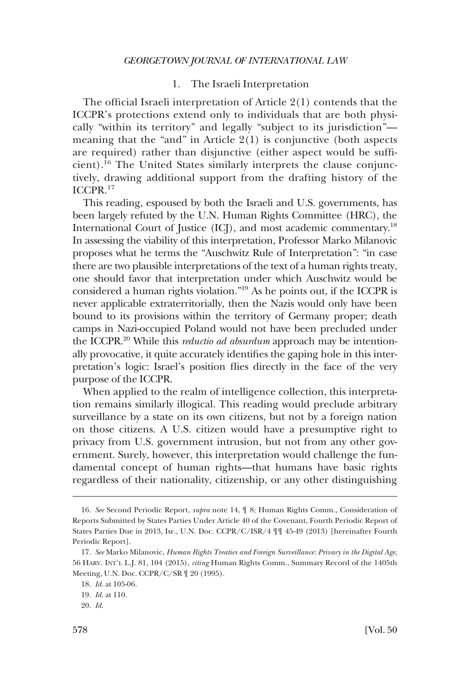# 1. The Israeli Interpretation

<span id="page-5-0"></span>The official Israeli interpretation of Article 2(1) contends that the ICCPR's protections extend only to individuals that are both physically "within its territory" and legally "subject to its jurisdiction" meaning that the "and" in Article 2(1) is conjunctive (both aspects are required) rather than disjunctive (either aspect would be sufficient).16 The United States similarly interprets the clause conjunctively, drawing additional support from the drafting history of the ICCPR.<sup>17</sup>

This reading, espoused by both the Israeli and U.S. governments, has been largely refuted by the U.N. Human Rights Committee (HRC), the International Court of Justice (ICJ), and most academic commentary.18 In assessing the viability of this interpretation, Professor Marko Milanovic proposes what he terms the "Auschwitz Rule of Interpretation": "in case there are two plausible interpretations of the text of a human rights treaty, one should favor that interpretation under which Auschwitz would be considered a human rights violation."19 As he points out, if the ICCPR is never applicable extraterritorially, then the Nazis would only have been bound to its provisions within the territory of Germany proper; death camps in Nazi-occupied Poland would not have been precluded under the ICCPR.20 While this *reductio ad absurdum* approach may be intentionally provocative, it quite accurately identifies the gaping hole in this interpretation's logic: Israel's position flies directly in the face of the very purpose of the ICCPR.

When applied to the realm of intelligence collection, this interpretation remains similarly illogical. This reading would preclude arbitrary surveillance by a state on its own citizens, but not by a foreign nation on those citizens. A U.S. citizen would have a presumptive right to privacy from U.S. government intrusion, but not from any other government. Surely, however, this interpretation would challenge the fundamental concept of human rights—that humans have basic rights regardless of their nationality, citizenship, or any other distinguishing

<sup>16.</sup> *See* Second Periodic Report, *supra* note 14, ¶ 8; Human Rights Comm., Consideration of Reports Submitted by States Parties Under Article 40 of the Covenant, Fourth Periodic Report of States Parties Due in 2013, Isr., U.N. Doc. CCPR/C/ISR/4 ¶¶ 45-49 (2013) [hereinafter Fourth Periodic Report].

<sup>17.</sup> *See* Marko Milanovic, *Human Rights Treaties and Foreign Surveillance: Privacy in the Digital Age*, 56 HARV. INT'L L.J. 81, 104 (2015), *citing* Human Rights Comm., Summary Record of the 1405th Meeting, U.N. Doc. CCPR/C/SR ¶ 20 (1995).

<sup>18.</sup> *Id*. at 105-06.

<sup>19.</sup> *Id*. at 110.

<sup>20.</sup> *Id*.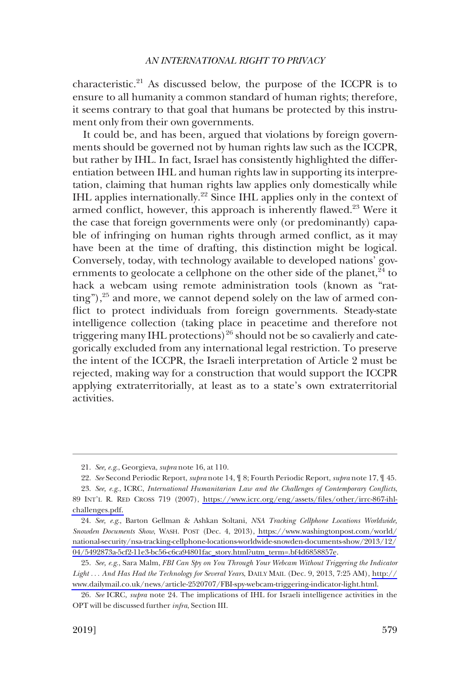characteristic.<sup>21</sup> As discussed below, the purpose of the ICCPR is to ensure to all humanity a common standard of human rights; therefore, it seems contrary to that goal that humans be protected by this instrument only from their own governments.

It could be, and has been, argued that violations by foreign governments should be governed not by human rights law such as the ICCPR, but rather by IHL. In fact, Israel has consistently highlighted the differentiation between IHL and human rights law in supporting its interpretation, claiming that human rights law applies only domestically while IHL applies internationally.22 Since IHL applies only in the context of armed conflict, however, this approach is inherently flawed.<sup>23</sup> Were it the case that foreign governments were only (or predominantly) capable of infringing on human rights through armed conflict, as it may have been at the time of drafting, this distinction might be logical. Conversely, today, with technology available to developed nations' governments to geolocate a cellphone on the other side of the planet, $24$  to hack a webcam using remote administration tools (known as "ratting"),<sup>25</sup> and more, we cannot depend solely on the law of armed conflict to protect individuals from foreign governments. Steady-state intelligence collection (taking place in peacetime and therefore not triggering many IHL protections)<sup>26</sup> should not be so cavalierly and categorically excluded from any international legal restriction. To preserve the intent of the ICCPR, the Israeli interpretation of Article 2 must be rejected, making way for a construction that would support the ICCPR applying extraterritorially, at least as to a state's own extraterritorial activities.

<sup>21.</sup> *See, e.g*., Georgieva, *supra* note 16, at 110.

<sup>22.</sup> *See* Second Periodic Report, *supra* note 14, ¶ 8; Fourth Periodic Report, *supra* note 17, ¶ 45.

*See, e.g*., ICRC, *International Humanitarian Law and the Challenges of Contemporary Conflicts*, 23. 89 INT'L R. RED CROSS 719 (2007), [https://www.icrc.org/eng/assets/files/other/irrc-867-ihl](https://www.icrc.org/eng/assets/files/other/irrc-867-ihl-challenges.pdf)[challenges.pdf.](https://www.icrc.org/eng/assets/files/other/irrc-867-ihl-challenges.pdf) 

*See, e.g*., Barton Gellman & Ashkan Soltani, *NSA Tracking Cellphone Locations Worldwide,*  24. *Snowden Documents Show*, WASH. POST (Dec. 4, 2013), [https://www.washingtonpost.com/world/](https://www.washingtonpost.com/world/national-security/nsa-tracking-cellphone-locations-worldwide-snowden-documents-show/2013/12/04/5492873a-5cf2-11e3-bc56-c6ca94801fac_story.html?utm_term=.bf4d6858857e)  [national-security/nsa-tracking-cellphone-locations-worldwide-snowden-documents-show/2013/12/](https://www.washingtonpost.com/world/national-security/nsa-tracking-cellphone-locations-worldwide-snowden-documents-show/2013/12/04/5492873a-5cf2-11e3-bc56-c6ca94801fac_story.html?utm_term=.bf4d6858857e) [04/5492873a-5cf2-11e3-bc56-c6ca94801fac\\_story.html?utm\\_term=.bf4d6858857e](https://www.washingtonpost.com/world/national-security/nsa-tracking-cellphone-locations-worldwide-snowden-documents-show/2013/12/04/5492873a-5cf2-11e3-bc56-c6ca94801fac_story.html?utm_term=.bf4d6858857e).

*See, e.g*., Sara Malm, *FBI Can Spy on You Through Your Webcam Without Triggering the Indicator*  25. *Light* . . . *And Has Had the Technology for Several Years*, DAILY MAIL (Dec. 9, 2013, 7:25 AM), [http://](http://www.dailymail.co.uk/news/article-2520707/FBI-spy-webcam-triggering-indicator-light.html) [www.dailymail.co.uk/news/article-2520707/FBI-spy-webcam-triggering-indicator-light.html.](http://www.dailymail.co.uk/news/article-2520707/FBI-spy-webcam-triggering-indicator-light.html)

<sup>26.</sup> *See* ICRC, *supra* note 24. The implications of IHL for Israeli intelligence activities in the OPT will be discussed further *infra*, Section III.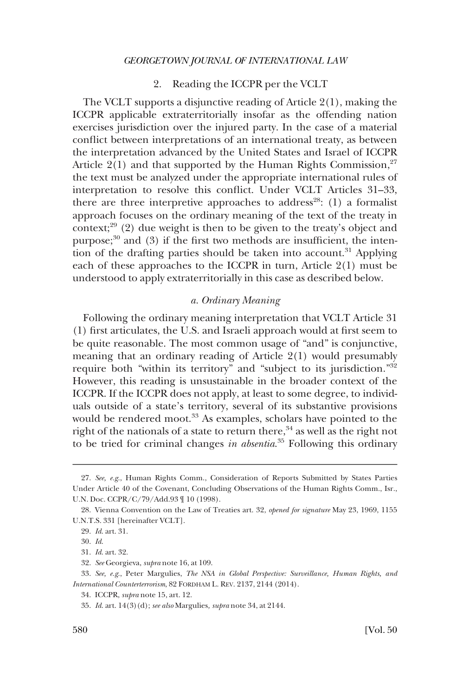# 2. Reading the ICCPR per the VCLT

<span id="page-7-0"></span>The VCLT supports a disjunctive reading of Article 2(1), making the ICCPR applicable extraterritorially insofar as the offending nation exercises jurisdiction over the injured party. In the case of a material conflict between interpretations of an international treaty, as between the interpretation advanced by the United States and Israel of ICCPR Article  $2(1)$  and that supported by the Human Rights Commission,<sup>27</sup> the text must be analyzed under the appropriate international rules of interpretation to resolve this conflict. Under VCLT Articles 31–33, there are three interpretive approaches to address<sup>28</sup>: (1) a formalist approach focuses on the ordinary meaning of the text of the treaty in context;<sup>29</sup> (2) due weight is then to be given to the treaty's object and purpose; $30$  and (3) if the first two methods are insufficient, the intention of the drafting parties should be taken into account.<sup>31</sup> Applying each of these approaches to the ICCPR in turn, Article 2(1) must be understood to apply extraterritorially in this case as described below.

# *a. Ordinary Meaning*

Following the ordinary meaning interpretation that VCLT Article 31 (1) first articulates, the U.S. and Israeli approach would at first seem to be quite reasonable. The most common usage of "and" is conjunctive, meaning that an ordinary reading of Article 2(1) would presumably require both "within its territory" and "subject to its jurisdiction."32 However, this reading is unsustainable in the broader context of the ICCPR. If the ICCPR does not apply, at least to some degree, to individuals outside of a state's territory, several of its substantive provisions would be rendered moot. $33$  As examples, scholars have pointed to the right of the nationals of a state to return there,  $34$  as well as the right not to be tried for criminal changes *in absentia*. 35 Following this ordinary

<sup>27.</sup> *See, e.g*., Human Rights Comm., Consideration of Reports Submitted by States Parties Under Article 40 of the Covenant, Concluding Observations of the Human Rights Comm., Isr., U.N. Doc. CCPR/C/79/Add.93 ¶ 10 (1998).

<sup>28.</sup> Vienna Convention on the Law of Treaties art. 32, *opened for signature* May 23, 1969, 1155 U.N.T.S. 331 [hereinafter VCLT].

<sup>29.</sup> *Id*. art. 31.

<sup>30.</sup> *Id*.

<sup>31.</sup> *Id*. art. 32.

<sup>32.</sup> *See* Georgieva, *supra* note 16, at 109.

<sup>33.</sup> *See, e.g*., Peter Margulies, *The NSA in Global Perspective: Surveillance, Human Rights, and International Counterterrorism*, 82 FORDHAM L. REV. 2137, 2144 (2014).

<sup>34.</sup> ICCPR, *supra* note 15, art. 12.

<sup>35.</sup> *Id*. art. 14(3)(d); *see also* Margulies*, supra* note 34, at 2144.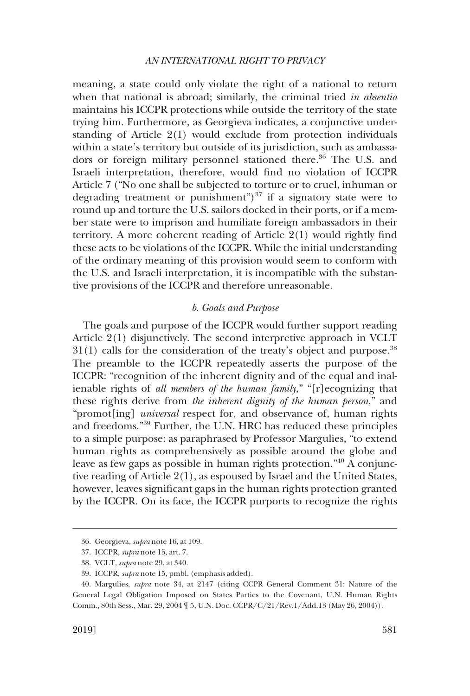<span id="page-8-0"></span>meaning, a state could only violate the right of a national to return when that national is abroad; similarly, the criminal tried *in absentia*  maintains his ICCPR protections while outside the territory of the state trying him. Furthermore, as Georgieva indicates, a conjunctive understanding of Article 2(1) would exclude from protection individuals within a state's territory but outside of its jurisdiction, such as ambassadors or foreign military personnel stationed there.<sup>36</sup> The U.S. and Israeli interpretation, therefore, would find no violation of ICCPR Article 7 ("No one shall be subjected to torture or to cruel, inhuman or degrading treatment or punishment")<sup>37</sup> if a signatory state were to round up and torture the U.S. sailors docked in their ports, or if a member state were to imprison and humiliate foreign ambassadors in their territory. A more coherent reading of Article 2(1) would rightly find these acts to be violations of the ICCPR. While the initial understanding of the ordinary meaning of this provision would seem to conform with the U.S. and Israeli interpretation, it is incompatible with the substantive provisions of the ICCPR and therefore unreasonable.

### *b. Goals and Purpose*

The goals and purpose of the ICCPR would further support reading Article 2(1) disjunctively. The second interpretive approach in VCLT  $31(1)$  calls for the consideration of the treaty's object and purpose.<sup>38</sup> The preamble to the ICCPR repeatedly asserts the purpose of the ICCPR: "recognition of the inherent dignity and of the equal and inalienable rights of *all members of the human family*," "[r]ecognizing that these rights derive from *the inherent dignity of the human person*," and "promot[ing] *universal* respect for, and observance of, human rights and freedoms."39 Further, the U.N. HRC has reduced these principles to a simple purpose: as paraphrased by Professor Margulies, "to extend human rights as comprehensively as possible around the globe and leave as few gaps as possible in human rights protection."40 A conjunctive reading of Article 2(1), as espoused by Israel and the United States, however, leaves significant gaps in the human rights protection granted by the ICCPR. On its face, the ICCPR purports to recognize the rights

<sup>36.</sup> Georgieva, *supra* note 16, at 109.

<sup>37.</sup> ICCPR, *supra* note 15, art. 7.

<sup>38.</sup> VCLT, *supra* note 29, at 340.

<sup>39.</sup> ICCPR, *supra* note 15, pmbl. (emphasis added).

<sup>40.</sup> Margulies, *supra* note 34, at 2147 (citing CCPR General Comment 31: Nature of the General Legal Obligation Imposed on States Parties to the Covenant, U.N. Human Rights Comm., 80th Sess., Mar. 29, 2004 ¶ 5, U.N. Doc. CCPR/C/21/Rev.1/Add.13 (May 26, 2004)).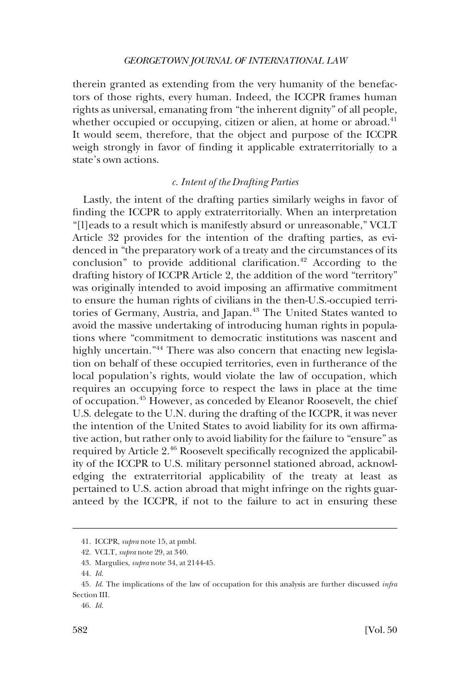<span id="page-9-0"></span>therein granted as extending from the very humanity of the benefactors of those rights, every human. Indeed, the ICCPR frames human rights as universal, emanating from "the inherent dignity" of all people, whether occupied or occupying, citizen or alien, at home or abroad.<sup>41</sup> It would seem, therefore, that the object and purpose of the ICCPR weigh strongly in favor of finding it applicable extraterritorially to a state's own actions.

# *c. Intent of the Drafting Parties*

Lastly, the intent of the drafting parties similarly weighs in favor of finding the ICCPR to apply extraterritorially. When an interpretation "[l]eads to a result which is manifestly absurd or unreasonable," VCLT Article 32 provides for the intention of the drafting parties, as evidenced in "the preparatory work of a treaty and the circumstances of its conclusion" to provide additional clarification.<sup>42</sup> According to the drafting history of ICCPR Article 2, the addition of the word "territory" was originally intended to avoid imposing an affirmative commitment to ensure the human rights of civilians in the then-U.S.-occupied territories of Germany, Austria, and Japan.<sup>43</sup> The United States wanted to avoid the massive undertaking of introducing human rights in populations where "commitment to democratic institutions was nascent and highly uncertain."<sup>44</sup> There was also concern that enacting new legislation on behalf of these occupied territories, even in furtherance of the local population's rights, would violate the law of occupation, which requires an occupying force to respect the laws in place at the time of occupation.45 However, as conceded by Eleanor Roosevelt, the chief U.S. delegate to the U.N. during the drafting of the ICCPR, it was never the intention of the United States to avoid liability for its own affirmative action, but rather only to avoid liability for the failure to "ensure" as required by Article 2.46 Roosevelt specifically recognized the applicability of the ICCPR to U.S. military personnel stationed abroad, acknowledging the extraterritorial applicability of the treaty at least as pertained to U.S. action abroad that might infringe on the rights guaranteed by the ICCPR, if not to the failure to act in ensuring these

<sup>41.</sup> ICCPR, *supra* note 15, at pmbl.

<sup>42.</sup> VCLT, *supra* note 29, at 340.

<sup>43.</sup> Margulies, *supra* note 34, at 2144-45.

<sup>44.</sup> *Id*.

<sup>45.</sup> *Id*. The implications of the law of occupation for this analysis are further discussed *infra*  Section III.

<sup>46.</sup> *Id*.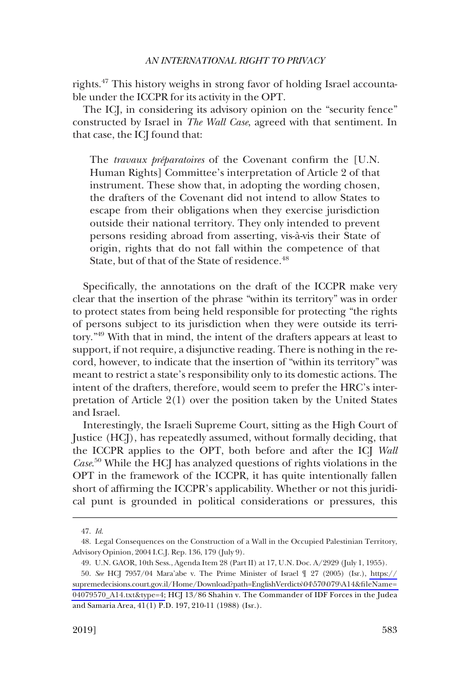rights.47 This history weighs in strong favor of holding Israel accountable under the ICCPR for its activity in the OPT.

The ICJ, in considering its advisory opinion on the "security fence" constructed by Israel in *The Wall Case*, agreed with that sentiment. In that case, the ICJ found that:

The *travaux préparatoires* of the Covenant confirm the [U.N.] Human Rights] Committee's interpretation of Article 2 of that instrument. These show that, in adopting the wording chosen, the drafters of the Covenant did not intend to allow States to escape from their obligations when they exercise jurisdiction outside their national territory. They only intended to prevent persons residing abroad from asserting, vis-à-vis their State of origin, rights that do not fall within the competence of that State, but of that of the State of residence.<sup>48</sup>

Specifically, the annotations on the draft of the ICCPR make very clear that the insertion of the phrase "within its territory" was in order to protect states from being held responsible for protecting "the rights of persons subject to its jurisdiction when they were outside its territory."49 With that in mind, the intent of the drafters appears at least to support, if not require, a disjunctive reading. There is nothing in the record, however, to indicate that the insertion of "within its territory" was meant to restrict a state's responsibility only to its domestic actions. The intent of the drafters, therefore, would seem to prefer the HRC's interpretation of Article 2(1) over the position taken by the United States and Israel.

Interestingly, the Israeli Supreme Court, sitting as the High Court of Justice (HCJ), has repeatedly assumed, without formally deciding, that the ICCPR applies to the OPT, both before and after the ICJ *Wall Case*. 50 While the HCJ has analyzed questions of rights violations in the OPT in the framework of the ICCPR, it has quite intentionally fallen short of affirming the ICCPR's applicability. Whether or not this juridical punt is grounded in political considerations or pressures, this

<sup>47.</sup> *Id*.

<sup>48.</sup> Legal Consequences on the Construction of a Wall in the Occupied Palestinian Territory, Advisory Opinion, 2004 I.C.J. Rep. 136, 179 (July 9).

<sup>49.</sup> U.N. GAOR, 10th Sess., Agenda Item 28 (Part II) at 17, U.N. Doc. A/2929 (July 1, 1955).

*See* HCJ 7957/04 Mara'abe v. The Prime Minister of Israel ¶ 27 (2005) (Isr.), [https://](https://supremedecisions.court.gov.il/Home/Download?path=EnglishVerdicts\04\570\079\A14&fileName=04079570_A14.txt&type=4)  50. [supremedecisions.court.gov.il/Home/Download?path=EnglishVerdicts\04\570\079\A14&fileName=](https://supremedecisions.court.gov.il/Home/Download?path=EnglishVerdicts\04\570\079\A14&fileName=04079570_A14.txt&type=4)  [04079570\\_A14.txt&type=4;](https://supremedecisions.court.gov.il/Home/Download?path=EnglishVerdicts\04\570\079\A14&fileName=04079570_A14.txt&type=4) HCJ 13/86 Shahin v. The Commander of IDF Forces in the Judea and Samaria Area, 41(1) P.D. 197, 210-11 (1988) (Isr.).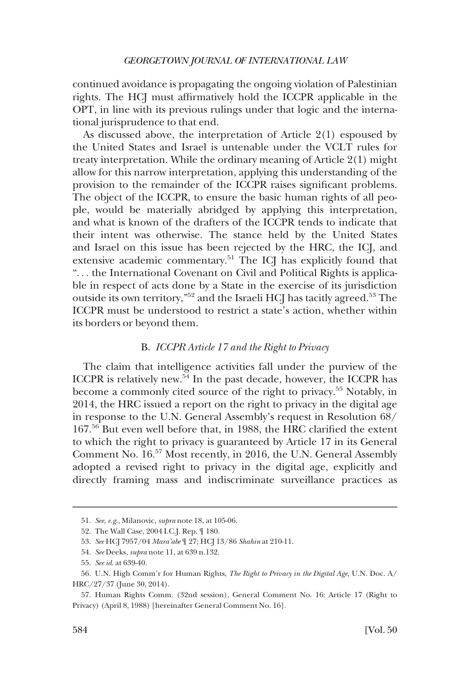<span id="page-11-0"></span>continued avoidance is propagating the ongoing violation of Palestinian rights. The HCJ must affirmatively hold the ICCPR applicable in the OPT, in line with its previous rulings under that logic and the international jurisprudence to that end.

As discussed above, the interpretation of Article 2(1) espoused by the United States and Israel is untenable under the VCLT rules for treaty interpretation. While the ordinary meaning of Article 2(1) might allow for this narrow interpretation, applying this understanding of the provision to the remainder of the ICCPR raises significant problems. The object of the ICCPR, to ensure the basic human rights of all people, would be materially abridged by applying this interpretation, and what is known of the drafters of the ICCPR tends to indicate that their intent was otherwise. The stance held by the United States and Israel on this issue has been rejected by the HRC, the ICJ, and extensive academic commentary.51 The ICJ has explicitly found that "... the International Covenant on Civil and Political Rights is applicable in respect of acts done by a State in the exercise of its jurisdiction outside its own territory,"<sup>52</sup> and the Israeli HCJ has tacitly agreed.<sup>53</sup> The ICCPR must be understood to restrict a state's action, whether within its borders or beyond them.

# B. *ICCPR Article 17 and the Right to Privacy*

The claim that intelligence activities fall under the purview of the ICCPR is relatively new.54 In the past decade, however, the ICCPR has become a commonly cited source of the right to privacy.<sup>55</sup> Notably, in 2014, the HRC issued a report on the right to privacy in the digital age in response to the U.N. General Assembly's request in Resolution 68/ 167.56 But even well before that, in 1988, the HRC clarified the extent to which the right to privacy is guaranteed by Article 17 in its General Comment No. 16.57 Most recently, in 2016, the U.N. General Assembly adopted a revised right to privacy in the digital age, explicitly and directly framing mass and indiscriminate surveillance practices as

<sup>51.</sup> *See, e.g*., Milanovic, *supra* note 18, at 105-06.

<sup>52.</sup> The Wall Case, 2004 I.C.J. Rep. ¶ 180.

<sup>53.</sup> *See* HCJ 7957/04 *Mara'abe* ¶ 27; HCJ 13/86 *Shahin* at 210-11.

<sup>54.</sup> *See* Deeks, *supra* note 11, at 639 n.132.

<sup>55.</sup> *See id*. at 639-40.

<sup>56.</sup> U.N. High Comm'r for Human Rights, *The Right to Privacy in the Digital Age*, U.N. Doc. A/ HRC/27/37 (June 30, 2014).

<sup>57.</sup> Human Rights Comm. (32nd session), General Comment No. 16: Article 17 (Right to Privacy) (April 8, 1988) [hereinafter General Comment No. 16].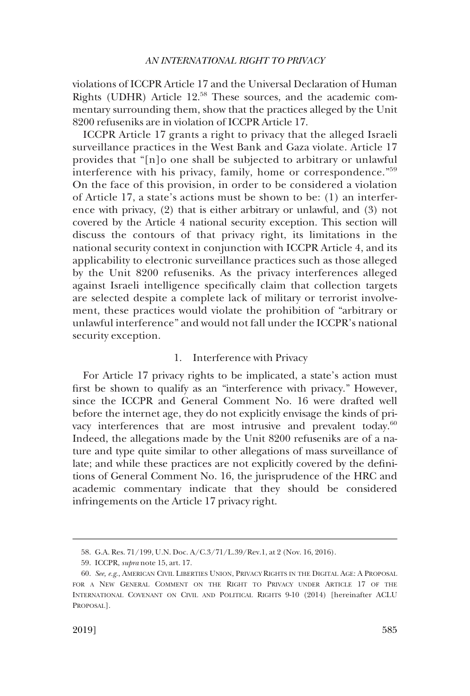<span id="page-12-0"></span>violations of ICCPR Article 17 and the Universal Declaration of Human Rights (UDHR) Article 12.58 These sources, and the academic commentary surrounding them, show that the practices alleged by the Unit 8200 refuseniks are in violation of ICCPR Article 17.

ICCPR Article 17 grants a right to privacy that the alleged Israeli surveillance practices in the West Bank and Gaza violate. Article 17 provides that "[n]o one shall be subjected to arbitrary or unlawful interference with his privacy, family, home or correspondence."<sup>59</sup> On the face of this provision, in order to be considered a violation of Article 17, a state's actions must be shown to be: (1) an interference with privacy, (2) that is either arbitrary or unlawful, and (3) not covered by the Article 4 national security exception. This section will discuss the contours of that privacy right, its limitations in the national security context in conjunction with ICCPR Article 4, and its applicability to electronic surveillance practices such as those alleged by the Unit 8200 refuseniks. As the privacy interferences alleged against Israeli intelligence specifically claim that collection targets are selected despite a complete lack of military or terrorist involvement, these practices would violate the prohibition of "arbitrary or unlawful interference" and would not fall under the ICCPR's national security exception.

# 1. Interference with Privacy

For Article 17 privacy rights to be implicated, a state's action must first be shown to qualify as an "interference with privacy." However, since the ICCPR and General Comment No. 16 were drafted well before the internet age, they do not explicitly envisage the kinds of privacy interferences that are most intrusive and prevalent today.<sup>60</sup> Indeed, the allegations made by the Unit 8200 refuseniks are of a nature and type quite similar to other allegations of mass surveillance of late; and while these practices are not explicitly covered by the definitions of General Comment No. 16, the jurisprudence of the HRC and academic commentary indicate that they should be considered infringements on the Article 17 privacy right.

<sup>58.</sup> G.A. Res. 71/199, U.N. Doc. A/C.3/71/L.39/Rev.1, at 2 (Nov. 16, 2016).

<sup>59.</sup> ICCPR, *supra* note 15, art. 17.

<sup>60.</sup> *See, e.g*., AMERICAN CIVIL LIBERTIES UNION, PRIVACY RIGHTS IN THE DIGITAL AGE: A PROPOSAL FOR A NEW GENERAL COMMENT ON THE RIGHT TO PRIVACY UNDER ARTICLE 17 OF THE INTERNATIONAL COVENANT ON CIVIL AND POLITICAL RIGHTS 9-10 (2014) [hereinafter ACLU PROPOSAL].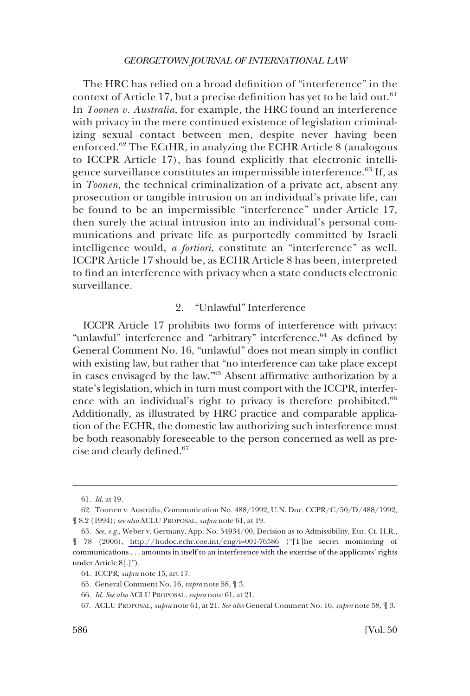<span id="page-13-0"></span>The HRC has relied on a broad definition of "interference" in the context of Article 17, but a precise definition has yet to be laid out.<sup>61</sup> In *Toonen v. Australia*, for example, the HRC found an interference with privacy in the mere continued existence of legislation criminalizing sexual contact between men, despite never having been enforced.62 The ECtHR, in analyzing the ECHR Article 8 (analogous to ICCPR Article 17), has found explicitly that electronic intelligence surveillance constitutes an impermissible interference.<sup>63</sup> If, as in *Toonen*, the technical criminalization of a private act, absent any prosecution or tangible intrusion on an individual's private life, can be found to be an impermissible "interference" under Article 17, then surely the actual intrusion into an individual's personal communications and private life as purportedly committed by Israeli intelligence would, *a fortiori*, constitute an "interference" as well. ICCPR Article 17 should be, as ECHR Article 8 has been, interpreted to find an interference with privacy when a state conducts electronic surveillance.

# 2. "Unlawful" Interference

ICCPR Article 17 prohibits two forms of interference with privacy: "unlawful" interference and "arbitrary" interference.<sup>64</sup> As defined by General Comment No. 16, "unlawful" does not mean simply in conflict with existing law, but rather that "no interference can take place except in cases envisaged by the law."65 Absent affirmative authorization by a state's legislation, which in turn must comport with the ICCPR, interference with an individual's right to privacy is therefore prohibited.<sup>66</sup> Additionally, as illustrated by HRC practice and comparable application of the ECHR, the domestic law authorizing such interference must be both reasonably foreseeable to the person concerned as well as precise and clearly defined.67

<sup>61.</sup> *Id*. at 19.

<sup>62.</sup> Toonen v. Australia, Communication No. 488/1992, U.N. Doc. CCPR/C/50/D/488/1992, ¶ 8.2 (1994); *see also* ACLU PROPOSAL, *supra* note 61, at 19.

*See, e.g*., Weber v. Germany, App. No. 54934/00, Decision as to Admissibility, Eur. Ct. H.R., 63. ¶ 78 (2006), <http://hudoc.echr.coe.int/eng?i=001-76586>("[T]he secret monitoring of communications . . . amounts in itself to an interference with the exercise of the applicants' rights under Article 8[.]").

<sup>64.</sup> ICCPR, *supra* note 15, art 17.

<sup>65.</sup> General Comment No. 16, *supra* note 58, ¶ 3.

<sup>66.</sup> *Id. See also* ACLU PROPOSAL, *supra* note 61, at 21.

<sup>67.</sup> ACLU PROPOSAL, *supra* note 61, at 21. *See also* General Comment No. 16, *supra* note 58, ¶ 3.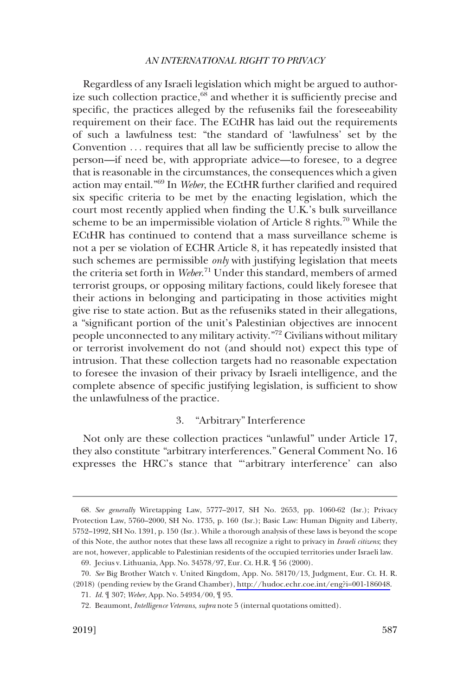<span id="page-14-0"></span>Regardless of any Israeli legislation which might be argued to authorize such collection practice, $68$  and whether it is sufficiently precise and specific, the practices alleged by the refuseniks fail the foreseeability requirement on their face. The ECtHR has laid out the requirements of such a lawfulness test: "the standard of 'lawfulness' set by the Convention . . . requires that all law be sufficiently precise to allow the person—if need be, with appropriate advice—to foresee, to a degree that is reasonable in the circumstances, the consequences which a given action may entail."69 In *Weber*, the ECtHR further clarified and required six specific criteria to be met by the enacting legislation, which the court most recently applied when finding the U.K.'s bulk surveillance scheme to be an impermissible violation of Article 8 rights.<sup>70</sup> While the ECtHR has continued to contend that a mass surveillance scheme is not a per se violation of ECHR Article 8, it has repeatedly insisted that such schemes are permissible *only* with justifying legislation that meets the criteria set forth in *Weber*. 71 Under this standard, members of armed terrorist groups, or opposing military factions, could likely foresee that their actions in belonging and participating in those activities might give rise to state action. But as the refuseniks stated in their allegations, a "significant portion of the unit's Palestinian objectives are innocent people unconnected to any military activity."72 Civilians without military or terrorist involvement do not (and should not) expect this type of intrusion. That these collection targets had no reasonable expectation to foresee the invasion of their privacy by Israeli intelligence, and the complete absence of specific justifying legislation, is sufficient to show the unlawfulness of the practice.

### 3. "Arbitrary" Interference

Not only are these collection practices "unlawful" under Article 17, they also constitute "arbitrary interferences." General Comment No. 16 expresses the HRC's stance that "'arbitrary interference' can also

<sup>68.</sup> *See generally* Wiretapping Law, 5777–2017, SH No. 2653, pp. 1060-62 (Isr.); Privacy Protection Law, 5760–2000, SH No. 1735, p. 160 (Isr.); Basic Law: Human Dignity and Liberty, 5752–1992, SH No. 1391, p. 150 (Isr.). While a thorough analysis of these laws is beyond the scope of this Note, the author notes that these laws all recognize a right to privacy in *Israeli citizens*; they are not, however, applicable to Palestinian residents of the occupied territories under Israeli law. 69. Jecius v. Lithuania, App. No. 34578/97, Eur. Ct. H.R. ¶ 56 (2000).

*See* Big Brother Watch v. United Kingdom, App. No. 58170/13, Judgment, Eur. Ct. H. R. 70. (2018) (pending review by the Grand Chamber), [http://hudoc.echr.coe.int/eng?i=001-186048.](http://hudoc.echr.coe.int/eng?i=001-186048)

<sup>71.</sup> *Id*. ¶ 307; *Weber*, App. No. 54934/00, ¶ 95.

<sup>72.</sup> Beaumont, *Intelligence Veterans*, *supra* note 5 (internal quotations omitted).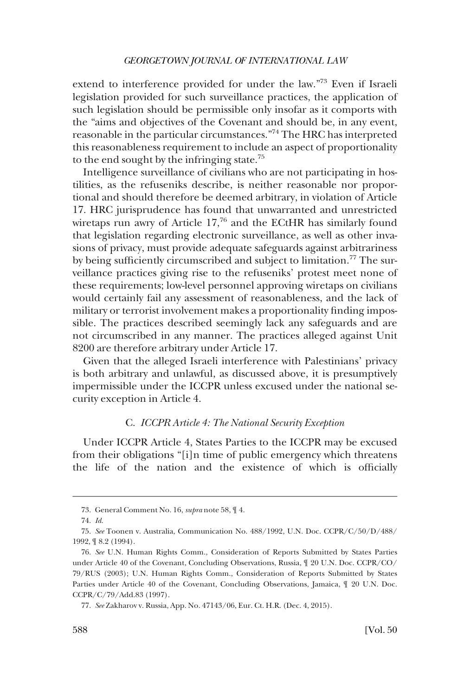<span id="page-15-0"></span>extend to interference provided for under the law."73 Even if Israeli legislation provided for such surveillance practices, the application of such legislation should be permissible only insofar as it comports with the "aims and objectives of the Covenant and should be, in any event, reasonable in the particular circumstances."74 The HRC has interpreted this reasonableness requirement to include an aspect of proportionality to the end sought by the infringing state.<sup>75</sup>

Intelligence surveillance of civilians who are not participating in hostilities, as the refuseniks describe, is neither reasonable nor proportional and should therefore be deemed arbitrary, in violation of Article 17. HRC jurisprudence has found that unwarranted and unrestricted wiretaps run awry of Article 17,<sup>76</sup> and the ECtHR has similarly found that legislation regarding electronic surveillance, as well as other invasions of privacy, must provide adequate safeguards against arbitrariness by being sufficiently circumscribed and subject to limitation.<sup>77</sup> The surveillance practices giving rise to the refuseniks' protest meet none of these requirements; low-level personnel approving wiretaps on civilians would certainly fail any assessment of reasonableness, and the lack of military or terrorist involvement makes a proportionality finding impossible. The practices described seemingly lack any safeguards and are not circumscribed in any manner. The practices alleged against Unit 8200 are therefore arbitrary under Article 17.

Given that the alleged Israeli interference with Palestinians' privacy is both arbitrary and unlawful, as discussed above, it is presumptively impermissible under the ICCPR unless excused under the national security exception in Article 4.

### C. *ICCPR Article 4: The National Security Exception*

Under ICCPR Article 4, States Parties to the ICCPR may be excused from their obligations "[i]n time of public emergency which threatens the life of the nation and the existence of which is officially

<sup>73.</sup> General Comment No. 16, *supra* note 58, ¶ 4.

<sup>74.</sup> *Id*.

<sup>75.</sup> *See* Toonen v. Australia, Communication No. 488/1992, U.N. Doc. CCPR/C/50/D/488/ 1992, ¶ 8.2 (1994).

<sup>76.</sup> *See* U.N. Human Rights Comm., Consideration of Reports Submitted by States Parties under Article 40 of the Covenant, Concluding Observations, Russia, ¶ 20 U.N. Doc. CCPR/CO/ 79/RUS (2003); U.N. Human Rights Comm., Consideration of Reports Submitted by States Parties under Article 40 of the Covenant, Concluding Observations, Jamaica,  $\parallel$  20 U.N. Doc. CCPR/C/79/Add.83 (1997).

<sup>77.</sup> *See* Zakharov v. Russia, App. No. 47143/06, Eur. Ct. H.R. (Dec. 4, 2015).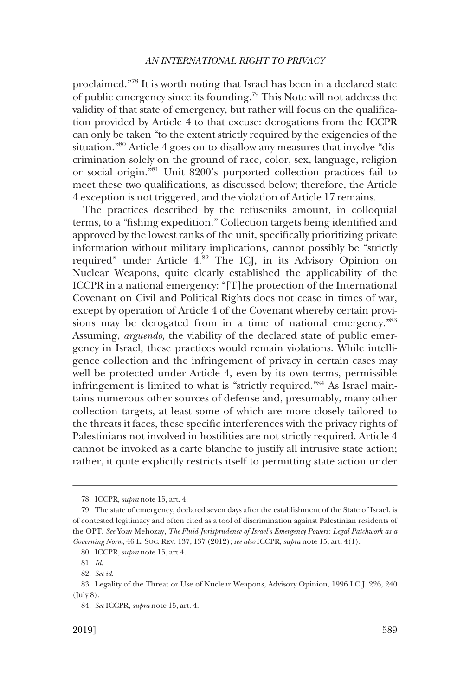proclaimed."78 It is worth noting that Israel has been in a declared state of public emergency since its founding.79 This Note will not address the validity of that state of emergency, but rather will focus on the qualification provided by Article 4 to that excuse: derogations from the ICCPR can only be taken "to the extent strictly required by the exigencies of the situation."80 Article 4 goes on to disallow any measures that involve "discrimination solely on the ground of race, color, sex, language, religion or social origin."81 Unit 8200's purported collection practices fail to meet these two qualifications, as discussed below; therefore, the Article 4 exception is not triggered, and the violation of Article 17 remains.

The practices described by the refuseniks amount, in colloquial terms, to a "fishing expedition." Collection targets being identified and approved by the lowest ranks of the unit, specifically prioritizing private information without military implications, cannot possibly be "strictly required" under Article 4.<sup>82</sup> The ICJ, in its Advisory Opinion on Nuclear Weapons, quite clearly established the applicability of the ICCPR in a national emergency: "[T]he protection of the International Covenant on Civil and Political Rights does not cease in times of war, except by operation of Article 4 of the Covenant whereby certain provisions may be derogated from in a time of national emergency.<sup>883</sup> Assuming, *arguendo*, the viability of the declared state of public emergency in Israel, these practices would remain violations. While intelligence collection and the infringement of privacy in certain cases may well be protected under Article 4, even by its own terms, permissible infringement is limited to what is "strictly required."84 As Israel maintains numerous other sources of defense and, presumably, many other collection targets, at least some of which are more closely tailored to the threats it faces, these specific interferences with the privacy rights of Palestinians not involved in hostilities are not strictly required. Article 4 cannot be invoked as a carte blanche to justify all intrusive state action; rather, it quite explicitly restricts itself to permitting state action under

<sup>78.</sup> ICCPR, *supra* note 15, art. 4.

<sup>79.</sup> The state of emergency, declared seven days after the establishment of the State of Israel, is of contested legitimacy and often cited as a tool of discrimination against Palestinian residents of the OPT. *See* Yoav Mehozay, *The Fluid Jurisprudence of Israel's Emergency Powers: Legal Patchwork as a Governing Norm*, 46 L. SOC. REV. 137, 137 (2012); *see also* ICCPR, *supra* note 15, art. 4(1).

<sup>80.</sup> ICCPR, *supra* note 15, art 4.

<sup>81.</sup> *Id*.

<sup>82.</sup> *See id*.

<sup>83.</sup> Legality of the Threat or Use of Nuclear Weapons, Advisory Opinion, 1996 I.C.J. 226, 240 (July 8).

<sup>84.</sup> *See* ICCPR*, supra* note 15, art. 4.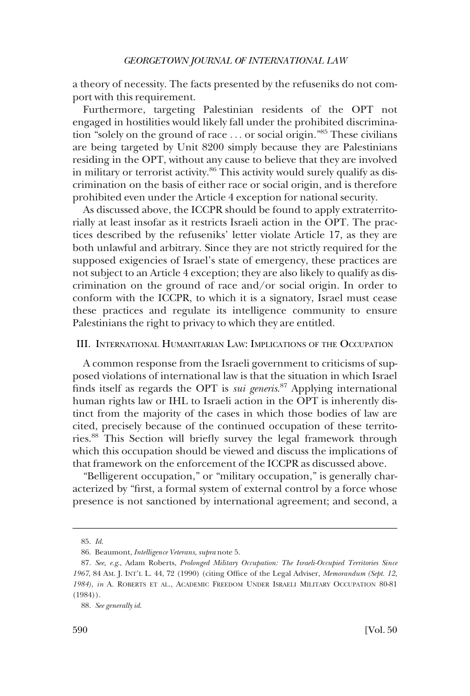<span id="page-17-0"></span>a theory of necessity. The facts presented by the refuseniks do not comport with this requirement.

Furthermore, targeting Palestinian residents of the OPT not engaged in hostilities would likely fall under the prohibited discrimination "solely on the ground of race . . . or social origin."85 These civilians are being targeted by Unit 8200 simply because they are Palestinians residing in the OPT, without any cause to believe that they are involved in military or terrorist activity. $86$  This activity would surely qualify as discrimination on the basis of either race or social origin, and is therefore prohibited even under the Article 4 exception for national security.

As discussed above, the ICCPR should be found to apply extraterritorially at least insofar as it restricts Israeli action in the OPT. The practices described by the refuseniks' letter violate Article 17, as they are both unlawful and arbitrary. Since they are not strictly required for the supposed exigencies of Israel's state of emergency, these practices are not subject to an Article 4 exception; they are also likely to qualify as discrimination on the ground of race and/or social origin. In order to conform with the ICCPR, to which it is a signatory, Israel must cease these practices and regulate its intelligence community to ensure Palestinians the right to privacy to which they are entitled.

### III. INTERNATIONAL HUMANITARIAN LAW: IMPLICATIONS OF THE OCCUPATION

A common response from the Israeli government to criticisms of supposed violations of international law is that the situation in which Israel finds itself as regards the OPT is *sui generis*. 87 Applying international human rights law or IHL to Israeli action in the OPT is inherently distinct from the majority of the cases in which those bodies of law are cited, precisely because of the continued occupation of these territories.88 This Section will briefly survey the legal framework through which this occupation should be viewed and discuss the implications of that framework on the enforcement of the ICCPR as discussed above.

"Belligerent occupation," or "military occupation," is generally characterized by "first, a formal system of external control by a force whose presence is not sanctioned by international agreement; and second, a

<sup>85.</sup> *Id*.

<sup>86.</sup> Beaumont, *Intelligence Veterans*, *supra* note 5.

<sup>87.</sup> *See, e.g*., Adam Roberts, *Prolonged Military Occupation: The Israeli-Occupied Territories Since 1967*, 84 AM. J. INT'L L. 44, 72 (1990) (citing Office of the Legal Adviser, *Memorandum (Sept. 12, 1984), in* A. ROBERTS ET AL., ACADEMIC FREEDOM UNDER ISRAELI MILITARY OCCUPATION 80-81 (1984)).

<sup>88.</sup> *See generally id*.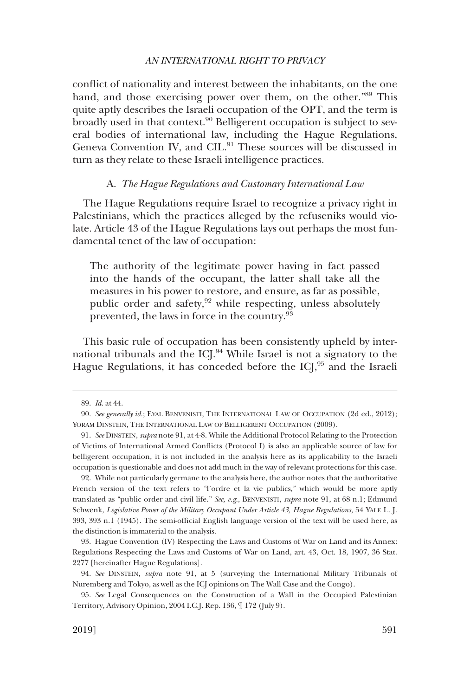<span id="page-18-0"></span>conflict of nationality and interest between the inhabitants, on the one hand, and those exercising power over them, on the other."89 This quite aptly describes the Israeli occupation of the OPT, and the term is broadly used in that context.<sup>90</sup> Belligerent occupation is subject to several bodies of international law, including the Hague Regulations, Geneva Convention IV, and CIL.<sup>91</sup> These sources will be discussed in turn as they relate to these Israeli intelligence practices.

### A. *The Hague Regulations and Customary International Law*

The Hague Regulations require Israel to recognize a privacy right in Palestinians, which the practices alleged by the refuseniks would violate. Article 43 of the Hague Regulations lays out perhaps the most fundamental tenet of the law of occupation:

The authority of the legitimate power having in fact passed into the hands of the occupant, the latter shall take all the measures in his power to restore, and ensure, as far as possible, public order and safety,<sup>92</sup> while respecting, unless absolutely prevented, the laws in force in the country.<sup>93</sup>

This basic rule of occupation has been consistently upheld by international tribunals and the ICJ.94 While Israel is not a signatory to the Hague Regulations, it has conceded before the ICJ,<sup>95</sup> and the Israeli

92. While not particularly germane to the analysis here, the author notes that the authoritative French version of the text refers to "l'ordre et la vie publics," which would be more aptly translated as "public order and civil life." *See, e.g*., BENVENISTI, *supra* note 91, at 68 n.1; Edmund Schwenk, *Legislative Power of the Military Occupant Under Article 43, Hague Regulations*, 54 YALE L. J. 393, 393 n.1 (1945). The semi-official English language version of the text will be used here, as the distinction is immaterial to the analysis.

93. Hague Convention (IV) Respecting the Laws and Customs of War on Land and its Annex: Regulations Respecting the Laws and Customs of War on Land, art. 43, Oct. 18, 1907, 36 Stat. 2277 [hereinafter Hague Regulations].

94. *See* DINSTEIN, *supra* note 91, at 5 (surveying the International Military Tribunals of Nuremberg and Tokyo, as well as the ICJ opinions on The Wall Case and the Congo).

95. *See* Legal Consequences on the Construction of a Wall in the Occupied Palestinian Territory, Advisory Opinion, 2004 I.C.J. Rep. 136, ¶ 172 (July 9).

<sup>89.</sup> *Id*. at 44.

<sup>90.</sup> *See generally id*.; EYAL BENVENISTI, THE INTERNATIONAL LAW OF OCCUPATION (2d ed., 2012); YORAM DINSTEIN, THE INTERNATIONAL LAW OF BELLIGERENT OCCUPATION  $(2009)$ .

<sup>91.</sup> *See* DINSTEIN, *supra* note 91, at 4-8. While the Additional Protocol Relating to the Protection of Victims of International Armed Conflicts (Protocol I) is also an applicable source of law for belligerent occupation, it is not included in the analysis here as its applicability to the Israeli occupation is questionable and does not add much in the way of relevant protections for this case.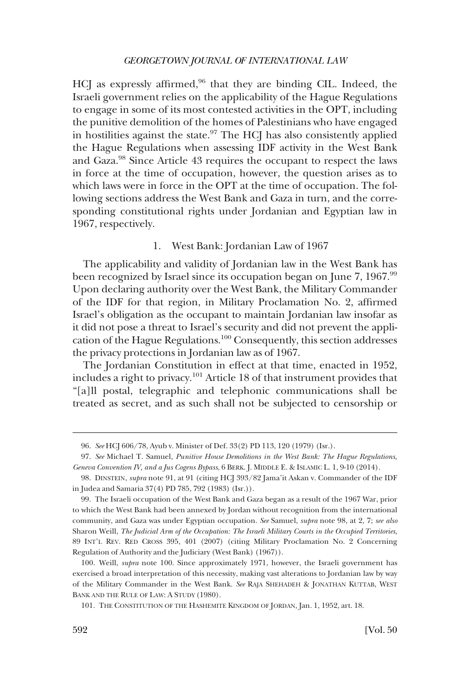<span id="page-19-0"></span>HCJ as expressly affirmed,<sup>96</sup> that they are binding CIL. Indeed, the Israeli government relies on the applicability of the Hague Regulations to engage in some of its most contested activities in the OPT, including the punitive demolition of the homes of Palestinians who have engaged in hostilities against the state. $97$  The HCJ has also consistently applied the Hague Regulations when assessing IDF activity in the West Bank and Gaza.98 Since Article 43 requires the occupant to respect the laws in force at the time of occupation, however, the question arises as to which laws were in force in the OPT at the time of occupation. The following sections address the West Bank and Gaza in turn, and the corresponding constitutional rights under Jordanian and Egyptian law in 1967, respectively.

#### 1. West Bank: Jordanian Law of 1967

The applicability and validity of Jordanian law in the West Bank has been recognized by Israel since its occupation began on June 7, 1967.<sup>99</sup> Upon declaring authority over the West Bank, the Military Commander of the IDF for that region, in Military Proclamation No. 2, affirmed Israel's obligation as the occupant to maintain Jordanian law insofar as it did not pose a threat to Israel's security and did not prevent the application of the Hague Regulations.100 Consequently, this section addresses the privacy protections in Jordanian law as of 1967.

The Jordanian Constitution in effect at that time, enacted in 1952, includes a right to privacy.101 Article 18 of that instrument provides that "[a]ll postal, telegraphic and telephonic communications shall be treated as secret, and as such shall not be subjected to censorship or

<sup>96.</sup> *See* HCJ 606/78, Ayub v. Minister of Def. 33(2) PD 113, 120 (1979) (Isr.).

<sup>97.</sup> *See* Michael T. Samuel, *Punitive House Demolitions in the West Bank: The Hague Regulations, Geneva Convention IV, and a Jus Cogens Bypass*, 6 BERK. J. MIDDLE E. & ISLAMIC L. 1, 9-10 (2014).

<sup>98.</sup> DINSTEIN, *supra* note 91, at 91 (citing HCJ 393/82 Jama'it Askan v. Commander of the IDF in Judea and Samaria 37(4) PD 785, 792 (1983) (Isr.)).

<sup>99.</sup> The Israeli occupation of the West Bank and Gaza began as a result of the 1967 War, prior to which the West Bank had been annexed by Jordan without recognition from the international community, and Gaza was under Egyptian occupation. *See* Samuel, *supra* note 98, at 2, 7; *see also*  Sharon Weill, *The Judicial Arm of the Occupation: The Israeli Military Courts in the Occupied Territories*, 89 INT'L REV. RED CROSS 395, 401 (2007) (citing Military Proclamation No. 2 Concerning Regulation of Authority and the Judiciary (West Bank) (1967)).

<sup>100.</sup> Weill, *supra* note 100. Since approximately 1971, however, the Israeli government has exercised a broad interpretation of this necessity, making vast alterations to Jordanian law by way of the Military Commander in the West Bank. *See* RAJA SHEHADEH & JONATHAN KUTTAB, WEST BANK AND THE RULE OF LAW: A STUDY (1980).

<sup>101.</sup> THE CONSTITUTION OF THE HASHEMITE KINGDOM OF JORDAN, Jan. 1, 1952, art. 18.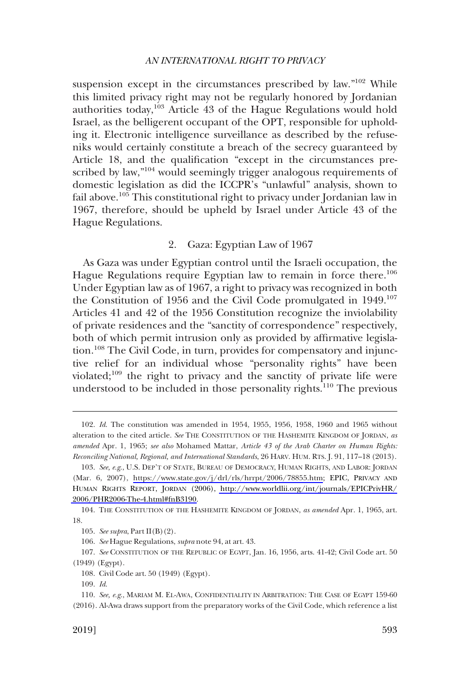<span id="page-20-0"></span>suspension except in the circumstances prescribed by law."102 While this limited privacy right may not be regularly honored by Jordanian authorities today, $103$  Article 43 of the Hague Regulations would hold Israel, as the belligerent occupant of the OPT, responsible for upholding it. Electronic intelligence surveillance as described by the refuseniks would certainly constitute a breach of the secrecy guaranteed by Article 18, and the qualification "except in the circumstances prescribed by law,"<sup>104</sup> would seemingly trigger analogous requirements of domestic legislation as did the ICCPR's "unlawful" analysis, shown to fail above.105 This constitutional right to privacy under Jordanian law in 1967, therefore, should be upheld by Israel under Article 43 of the Hague Regulations.

# 2. Gaza: Egyptian Law of 1967

As Gaza was under Egyptian control until the Israeli occupation, the Hague Regulations require Egyptian law to remain in force there.<sup>106</sup> Under Egyptian law as of 1967, a right to privacy was recognized in both the Constitution of 1956 and the Civil Code promulgated in 1949.107 Articles 41 and 42 of the 1956 Constitution recognize the inviolability of private residences and the "sanctity of correspondence" respectively, both of which permit intrusion only as provided by affirmative legislation.108 The Civil Code, in turn, provides for compensatory and injunctive relief for an individual whose "personality rights" have been violated;109 the right to privacy and the sanctity of private life were understood to be included in those personality rights.<sup>110</sup> The previous

107. *See* CONSTITUTION OF THE REPUBLIC OF EGYPT, Jan. 16, 1956, arts. 41-42; Civil Code art. 50 (1949) (Egypt).

<sup>102.</sup> *Id*. The constitution was amended in 1954, 1955, 1956, 1958, 1960 and 1965 without alteration to the cited article. *See* THE CONSTITUTION OF THE HASHEMITE KINGDOM OF JORDAN, *as amended* Apr. 1, 1965; *see also* Mohamed Mattar, *Article 43 of the Arab Charter on Human Rights: Reconciling National, Regional, and International Standards*, 26 HARV. HUM. RTS. J. 91, 117–18 (2013).

<sup>103.</sup> See, e.g., U.S. DEP'T OF STATE, BUREAU OF DEMOCRACY, HUMAN RIGHTS, AND LABOR: JORDAN (Mar. 6, 2007), <https://www.state.gov/j/drl/rls/hrrpt/2006/78855.htm>; EPIC, PRIVACY AND HUMAN RIGHTS REPORT, JORDAN (2006), [http://www.worldlii.org/int/journals/EPICPrivHR/](http://www.worldlii.org/int/journals/EPICPrivHR/2006/PHR2006-The-4.html#fnB3190) [2006/PHR2006-The-4.html#fnB3190.](http://www.worldlii.org/int/journals/EPICPrivHR/2006/PHR2006-The-4.html#fnB3190)

<sup>104.</sup> THE CONSTITUTION OF THE HASHEMITE KINGDOM OF JORDAN, *as amended* Apr. 1, 1965, art. 18.

<sup>105.</sup> *See supra*, Part II(B)(2).

<sup>106.</sup> *See* Hague Regulations, *supra* note 94, at art. 43.

<sup>108.</sup> Civil Code art. 50 (1949) (Egypt).

<sup>109.</sup> *Id*.

<sup>110.</sup> *See, e.g*., MARIAM M. EL-AWA, CONFIDENTIALITY IN ARBITRATION: THE CASE OF EGYPT 159-60 (2016). Al-Awa draws support from the preparatory works of the Civil Code, which reference a list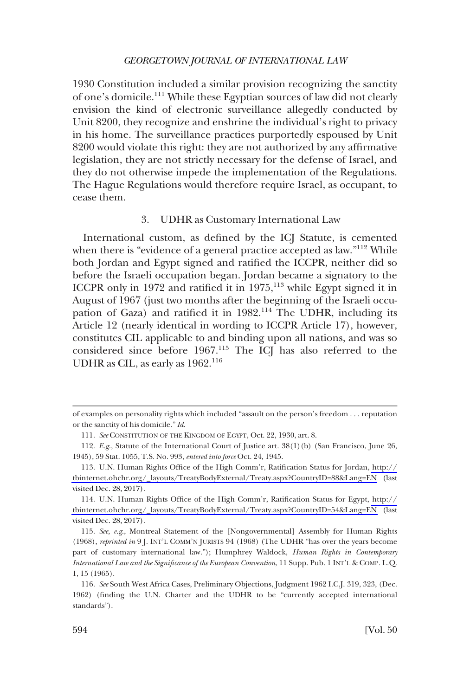<span id="page-21-0"></span>1930 Constitution included a similar provision recognizing the sanctity of one's domicile.111 While these Egyptian sources of law did not clearly envision the kind of electronic surveillance allegedly conducted by Unit 8200, they recognize and enshrine the individual's right to privacy in his home. The surveillance practices purportedly espoused by Unit 8200 would violate this right: they are not authorized by any affirmative legislation, they are not strictly necessary for the defense of Israel, and they do not otherwise impede the implementation of the Regulations. The Hague Regulations would therefore require Israel, as occupant, to cease them.

# 3. UDHR as Customary International Law

International custom, as defined by the ICJ Statute, is cemented when there is "evidence of a general practice accepted as law."<sup>112</sup> While both Jordan and Egypt signed and ratified the ICCPR, neither did so before the Israeli occupation began. Jordan became a signatory to the ICCPR only in 1972 and ratified it in 1975,<sup>113</sup> while Egypt signed it in August of 1967 (just two months after the beginning of the Israeli occupation of Gaza) and ratified it in 1982.<sup>114</sup> The UDHR, including its Article 12 (nearly identical in wording to ICCPR Article 17), however, constitutes CIL applicable to and binding upon all nations, and was so considered since before 1967.115 The ICJ has also referred to the UDHR as CIL, as early as 1962.<sup>116</sup>

of examples on personality rights which included "assault on the person's freedom . . . reputation or the sanctity of his domicile." *Id*.

<sup>111.</sup> *See* CONSTITUTION OF THE KINGDOM OF EGYPT, Oct. 22, 1930, art. 8.

<sup>112.</sup> *E.g*., Statute of the International Court of Justice art. 38(1)(b) (San Francisco, June 26, 1945), 59 Stat. 1055, T.S. No. 993, *entered into force* Oct. 24, 1945.

U.N. Human Rights Office of the High Comm'r, Ratification Status for Jordan, [http://](http://tbinternet.ohchr.org/_layouts/TreatyBodyExternal/Treaty.aspx?CountryID=88&Lang=EN) 113. [tbinternet.ohchr.org/\\_layouts/TreatyBodyExternal/Treaty.aspx?CountryID=88&Lang=EN](http://tbinternet.ohchr.org/_layouts/TreatyBodyExternal/Treaty.aspx?CountryID=88&Lang=EN) (last visited Dec. 28, 2017).

U.N. Human Rights Office of the High Comm'r, Ratification Status for Egypt, [http://](http://tbinternet.ohchr.org/_layouts/TreatyBodyExternal/Treaty.aspx?CountryID=54&Lang=EN) 114. [tbinternet.ohchr.org/\\_layouts/TreatyBodyExternal/Treaty.aspx?CountryID=54&Lang=EN](http://tbinternet.ohchr.org/_layouts/TreatyBodyExternal/Treaty.aspx?CountryID=54&Lang=EN) (last visited Dec. 28, 2017).

<sup>115.</sup> *See, e.g*., Montreal Statement of the [Nongovernmental] Assembly for Human Rights (1968), *reprinted in* 9 J. INT'L COMM'N JURISTS 94 (1968) (The UDHR "has over the years become part of customary international law."); Humphrey Waldock, *Human Rights in Contemporary International Law and the Significance of the European Convention*, 11 Supp. Pub. 1 INT'L & COMP. L.Q. 1, 15 (1965).

<sup>116.</sup> *See* South West Africa Cases, Preliminary Objections, Judgment 1962 I.C.J. 319, 323, (Dec. 1962) (finding the U.N. Charter and the UDHR to be "currently accepted international standards").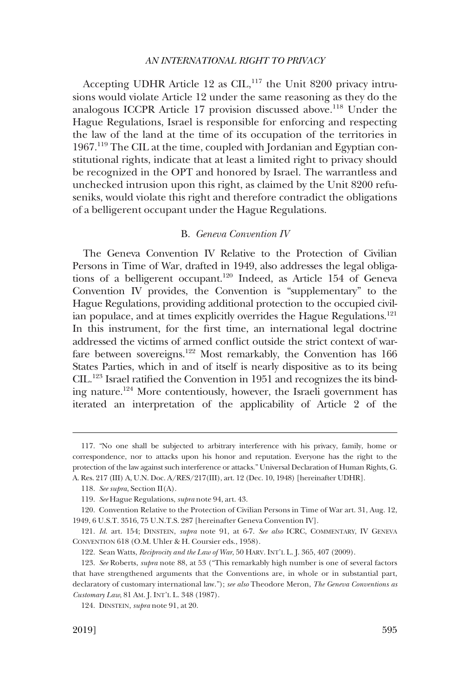<span id="page-22-0"></span>Accepting UDHR Article 12 as CIL,<sup>117</sup> the Unit 8200 privacy intrusions would violate Article 12 under the same reasoning as they do the analogous ICCPR Article 17 provision discussed above.<sup>118</sup> Under the Hague Regulations, Israel is responsible for enforcing and respecting the law of the land at the time of its occupation of the territories in 1967.119 The CIL at the time, coupled with Jordanian and Egyptian constitutional rights, indicate that at least a limited right to privacy should be recognized in the OPT and honored by Israel. The warrantless and unchecked intrusion upon this right, as claimed by the Unit 8200 refuseniks, would violate this right and therefore contradict the obligations of a belligerent occupant under the Hague Regulations.

# B. *Geneva Convention IV*

The Geneva Convention IV Relative to the Protection of Civilian Persons in Time of War, drafted in 1949, also addresses the legal obligations of a belligerent occupant.<sup>120</sup> Indeed, as Article 154 of Geneva Convention IV provides, the Convention is "supplementary" to the Hague Regulations, providing additional protection to the occupied civilian populace, and at times explicitly overrides the Hague Regulations.<sup>121</sup> In this instrument, for the first time, an international legal doctrine addressed the victims of armed conflict outside the strict context of warfare between sovereigns.<sup>122</sup> Most remarkably, the Convention has 166 States Parties, which in and of itself is nearly dispositive as to its being CIL.123 Israel ratified the Convention in 1951 and recognizes the its binding nature.124 More contentiously, however, the Israeli government has iterated an interpretation of the applicability of Article 2 of the

<sup>117. &</sup>quot;No one shall be subjected to arbitrary interference with his privacy, family, home or correspondence, nor to attacks upon his honor and reputation. Everyone has the right to the protection of the law against such interference or attacks." Universal Declaration of Human Rights, G. A. Res. 217 (III) A, U.N. Doc. A/RES/217(III), art. 12 (Dec. 10, 1948) [hereinafter UDHR].

<sup>118.</sup> *See supra*, Section II(A).

<sup>119.</sup> *See* Hague Regulations, *supra* note 94, art. 43.

<sup>120.</sup> Convention Relative to the Protection of Civilian Persons in Time of War art. 31, Aug. 12, 1949, 6 U.S.T. 3516, 75 U.N.T.S. 287 [hereinafter Geneva Convention IV].

<sup>121.</sup> *Id*. art. 154; DINSTEIN, *supra* note 91, at 6-7. *See also* ICRC, COMMENTARY, IV GENEVA CONVENTION 618 (O.M. Uhler & H. Coursier eds., 1958).

<sup>122.</sup> Sean Watts, *Reciprocity and the Law of War*, 50 HARV. INT'L L. J. 365, 407 (2009).

<sup>123.</sup> *See* Roberts, *supra* note 88, at 53 ("This remarkably high number is one of several factors that have strengthened arguments that the Conventions are, in whole or in substantial part, declaratory of customary international law."); *see also* Theodore Meron, *The Geneva Conventions as Customary Law*, 81 AM. J. INT'L L. 348 (1987).

<sup>124.</sup> DINSTEIN, *supra* note 91, at 20.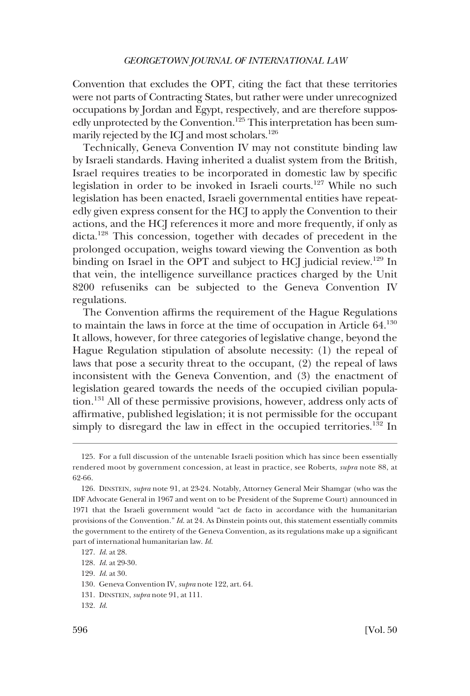Convention that excludes the OPT, citing the fact that these territories were not parts of Contracting States, but rather were under unrecognized occupations by Jordan and Egypt, respectively, and are therefore supposedly unprotected by the Convention.<sup>125</sup> This interpretation has been summarily rejected by the ICJ and most scholars.126

Technically, Geneva Convention IV may not constitute binding law by Israeli standards. Having inherited a dualist system from the British, Israel requires treaties to be incorporated in domestic law by specific legislation in order to be invoked in Israeli courts.<sup>127</sup> While no such legislation has been enacted, Israeli governmental entities have repeatedly given express consent for the HCJ to apply the Convention to their actions, and the HCJ references it more and more frequently, if only as dicta.<sup>128</sup> This concession, together with decades of precedent in the prolonged occupation, weighs toward viewing the Convention as both binding on Israel in the OPT and subject to HCJ judicial review.<sup>129</sup> In that vein, the intelligence surveillance practices charged by the Unit 8200 refuseniks can be subjected to the Geneva Convention IV regulations.

The Convention affirms the requirement of the Hague Regulations to maintain the laws in force at the time of occupation in Article 64.130 It allows, however, for three categories of legislative change, beyond the Hague Regulation stipulation of absolute necessity: (1) the repeal of laws that pose a security threat to the occupant, (2) the repeal of laws inconsistent with the Geneva Convention, and (3) the enactment of legislation geared towards the needs of the occupied civilian population.131 All of these permissive provisions, however, address only acts of affirmative, published legislation; it is not permissible for the occupant simply to disregard the law in effect in the occupied territories.<sup>132</sup> In

<sup>125.</sup> For a full discussion of the untenable Israeli position which has since been essentially rendered moot by government concession, at least in practice, see Roberts, *supra* note 88, at 62-66.

<sup>126.</sup> DINSTEIN, *supra* note 91, at 23-24. Notably, Attorney General Meir Shamgar (who was the IDF Advocate General in 1967 and went on to be President of the Supreme Court) announced in 1971 that the Israeli government would "act de facto in accordance with the humanitarian provisions of the Convention." *Id*. at 24. As Dinstein points out, this statement essentially commits the government to the entirety of the Geneva Convention, as its regulations make up a significant part of international humanitarian law. *Id*.

<sup>127.</sup> *Id*. at 28.

<sup>128.</sup> *Id*. at 29-30.

<sup>129.</sup> *Id*. at 30.

<sup>130.</sup> Geneva Convention IV, *supra* note 122, art. 64.

<sup>131.</sup> DINSTEIN, *supra* note 91, at 111.

<sup>132.</sup> *Id*.